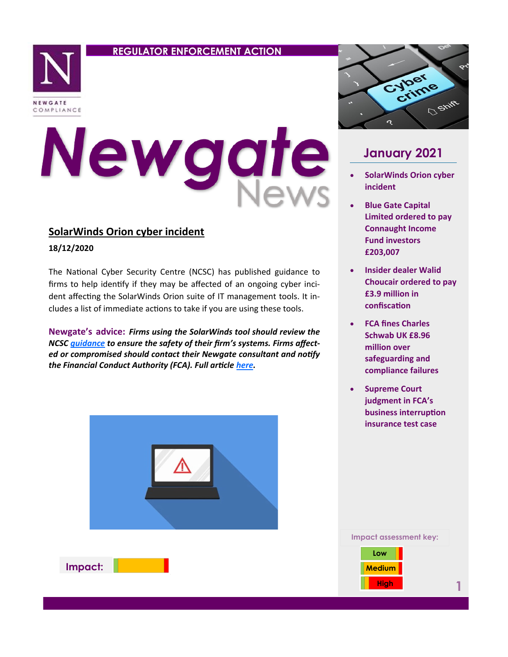## **REGULATOR ENFORCEMENT ACTION**



# Newgate

## **SolarWinds Orion cyber incident**

**18/12/2020**

The National Cyber Security Centre (NCSC) has published guidance to firms to help identify if they may be affected of an ongoing cyber incident affecting the SolarWinds Orion suite of IT management tools. It includes a list of immediate actions to take if you are using these tools.

**Newgate's advice:** *Firms using the SolarWinds tool should review the NCSC [guidance](https://www.ncsc.gov.uk/guidance/dealing-with-the-solarwinds-orion-compromise) to ensure the safety of their firm's systems. Firms affected or compromised should contact their Newgate consultant and notify the Financial Conduct Authority (FCA). Full article [here.](https://www.fca.org.uk/news/statements/solarwinds-orion-cyber-incident)*



**Impact:**



# **January 2021**

- **SolarWinds Orion cyber incident**
- **Blue Gate Capital Limited ordered to pay Connaught Income Fund investors £203,007**
- **Insider dealer Walid Choucair ordered to pay £3.9 million in confiscation**
- **FCA fines Charles Schwab UK £8.96 million over safeguarding and compliance failures**
- **Supreme Court judgment in FCA's business interruption insurance test case**



**1**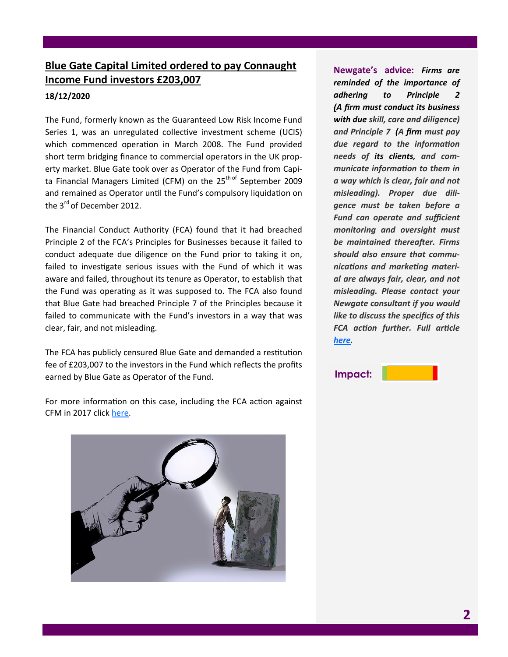## **Blue Gate Capital Limited ordered to pay Connaught Income Fund investors £203,007**

### **18/12/2020**

The Fund, formerly known as the Guaranteed Low Risk Income Fund Series 1, was an unregulated collective investment scheme (UCIS) which commenced operation in March 2008. The Fund provided short term bridging finance to commercial operators in the UK property market. Blue Gate took over as Operator of the Fund from Capita Financial Managers Limited (CFM) on the  $25<sup>th of</sup> September 2009$ and remained as Operator until the Fund's compulsory liquidation on the 3<sup>rd</sup> of December 2012.

The Financial Conduct Authority (FCA) found that it had breached Principle 2 of the FCA's Principles for Businesses because it failed to conduct adequate due diligence on the Fund prior to taking it on, failed to investigate serious issues with the Fund of which it was aware and failed, throughout its tenure as Operator, to establish that the Fund was operating as it was supposed to. The FCA also found that Blue Gate had breached Principle 7 of the Principles because it failed to communicate with the Fund's investors in a way that was clear, fair, and not misleading.

The FCA has publicly censured Blue Gate and demanded a restitution fee of £203,007 to the investors in the Fund which reflects the profits earned by Blue Gate as Operator of the Fund.

For more information on this case, including the FCA action against CFM in 2017 click [here.](https://www.fca.org.uk/news/press-releases/capita-financial-managers-pay-66-million-benefit-investors-connaught-income-fund-series-1) 



**Newgate's advice:** *Firms are reminded of the importance of adhering to Principle 2 (A [firm](https://www.handbook.fca.org.uk/handbook/glossary/G430.html) must conduct its business with due skill, care and diligence) and Principle 7 (A [firm](https://www.handbook.fca.org.uk/handbook/glossary/G430.html) must pay due regard to the information needs of its [clients,](https://www.handbook.fca.org.uk/handbook/glossary/G156.html) and communicate information to them in a way which is clear, fair and not misleading). Proper due diligence must be taken before a Fund can operate and sufficient monitoring and oversight must be maintained thereafter. Firms should also ensure that communications and marketing material are always fair, clear, and not misleading. Please contact your Newgate consultant if you would like to discuss the specifics of this FCA action further. Full article [here.](https://www.fca.org.uk/news/press-releases/blue-gate-capital-limited-ordered-pay-connaught-investors)*

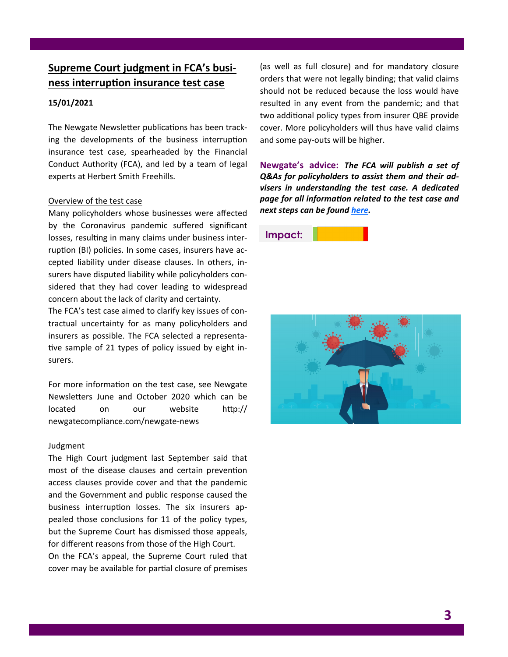## **Supreme Court judgment in FCA's business interruption insurance test case**

#### **15/01/2021**

The Newgate Newsletter publications has been tracking the developments of the business interruption insurance test case, spearheaded by the Financial Conduct Authority (FCA), and led by a team of legal experts at Herbert Smith Freehills.

#### Overview of the test case

Many policyholders whose businesses were affected by the Coronavirus pandemic suffered significant losses, resulting in many claims under business interruption (BI) policies. In some cases, insurers have accepted liability under disease clauses. In others, insurers have disputed liability while policyholders considered that they had cover leading to widespread concern about the lack of clarity and certainty.

The FCA's test case aimed to clarify key issues of contractual uncertainty for as many policyholders and insurers as possible. The FCA selected a representative sample of 21 types of policy issued by eight insurers.

For more information on the test case, see Newgate Newsletters June and October 2020 which can be located on our website http:// newgatecompliance.com/newgate-news

#### Judgment

The High Court judgment last September said that most of the disease clauses and certain prevention access clauses provide cover and that the pandemic and the Government and public response caused the business interruption losses. The six insurers appealed those conclusions for 11 of the policy types, but the Supreme Court has dismissed those appeals, for different reasons from those of the High Court.

On the FCA's appeal, the Supreme Court ruled that cover may be available for partial closure of premises (as well as full closure) and for mandatory closure orders that were not legally binding; that valid claims should not be reduced because the loss would have resulted in any event from the pandemic; and that two additional policy types from insurer QBE provide cover. More policyholders will thus have valid claims and some pay-outs will be higher.

**Newgate's advice:** *The FCA will publish a set of Q&As for policyholders to assist them and their advisers in understanding the test case. A dedicated page for all information related to the test case and next steps can be found [here.](https://www.fca.org.uk/firms/business-interruption-insurance)*

## **Impact:**